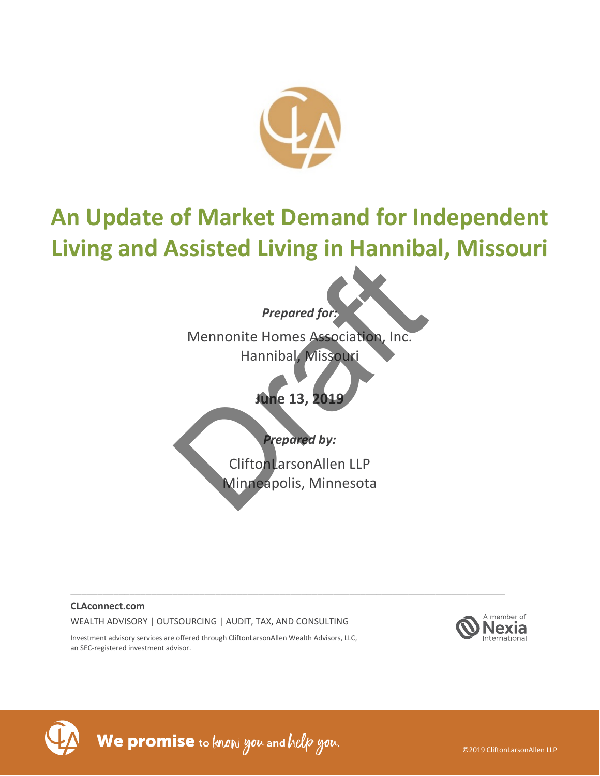

# **An Update of Market Demand for Independent Living and Assisted Living in Hannibal, Missouri**

## *Prepared for:*

Mennonite Homes Association, Inc. Hannibal, Missouri Prepared for:<br>
Mennonite Homes Association, Inc.<br>
Hannibal, Missouri<br>
June 13, 2019<br>
Prepared by:<br>
CliftonLarsonAllen LLP<br>
Minneapolis, Minnesota

## **June 13, 2019**

## *Prepared by:*

CliftonLarsonAllen LLP Minneapolis, Minnesota

\_\_\_\_\_\_\_\_\_\_\_\_\_\_\_\_\_\_\_\_\_\_\_\_\_\_\_\_\_\_\_\_\_\_\_\_\_\_\_\_\_\_\_\_\_\_\_\_\_\_\_\_\_\_\_\_\_\_\_\_\_\_\_\_\_\_\_\_\_\_\_\_\_\_\_\_\_\_\_\_\_

### **CLAconnect.com**

WEALTH ADVISORY | OUTSOURCING | AUDIT, TAX, AND CONSULTING





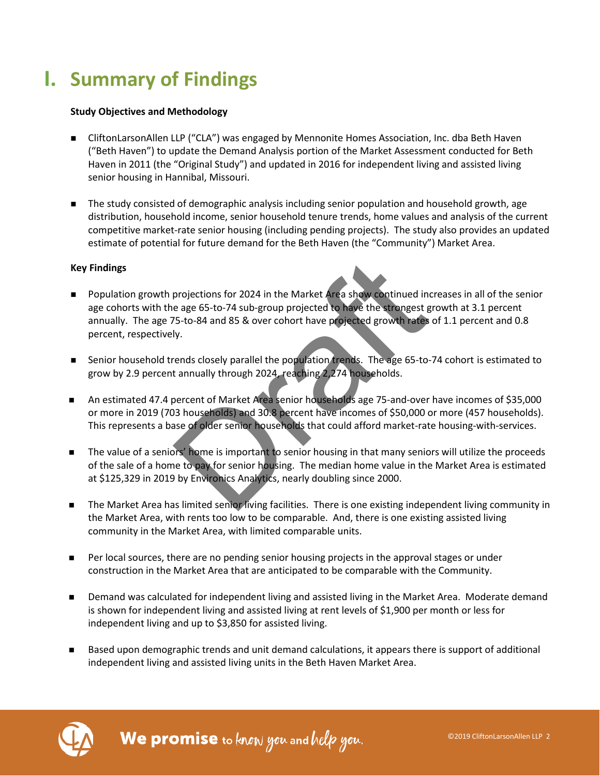# **I. Summary of Findings**

### **Study Objectives and Methodology**

- CliftonLarsonAllen LLP ("CLA") was engaged by Mennonite Homes Association, Inc. dba Beth Haven ("Beth Haven") to update the Demand Analysis portion of the Market Assessment conducted for Beth Haven in 2011 (the "Original Study") and updated in 2016 for independent living and assisted living senior housing in Hannibal, Missouri.
- The study consisted of demographic analysis including senior population and household growth, age distribution, household income, senior household tenure trends, home values and analysis of the current competitive market-rate senior housing (including pending projects). The study also provides an updated estimate of potential for future demand for the Beth Haven (the "Community") Market Area.

### **Key Findings**

- **Population growth projections for 2024 in the Market Area show continued increases in all of the senior** age cohorts with the age 65-to-74 sub-group projected to have the strongest growth at 3.1 percent annually. The age 75-to-84 and 85 & over cohort have projected growth rates of 1.1 percent and 0.8 percent, respectively. projections for 2024 in the Market Area show continued in<br>e age 65-to-74 sub-group projected to have the strongest g<br>75-to-84 and 85 & over cohort have projected growth hates<br>ly.<br>eends closely parallel the population trend
- Senior household trends closely parallel the population trends. The age 65-to-74 cohort is estimated to grow by 2.9 percent annually through 2024, reaching 2,274 households.
- An estimated 47.4 percent of Market Area senior households age 75-and-over have incomes of \$35,000 or more in 2019 (703 households) and 30.8 percent have incomes of \$50,000 or more (457 households). This represents a base of older senior households that could afford market-rate housing-with-services.
- The value of a seniors' home is important to senior housing in that many seniors will utilize the proceeds of the sale of a home to pay for senior housing. The median home value in the Market Area is estimated at \$125,329 in 2019 by Environics Analytics, nearly doubling since 2000.
- The Market Area has limited senior living facilities. There is one existing independent living community in the Market Area, with rents too low to be comparable. And, there is one existing assisted living community in the Market Area, with limited comparable units.
- Per local sources, there are no pending senior housing projects in the approval stages or under construction in the Market Area that are anticipated to be comparable with the Community.
- Demand was calculated for independent living and assisted living in the Market Area. Moderate demand is shown for independent living and assisted living at rent levels of \$1,900 per month or less for independent living and up to \$3,850 for assisted living.
- Based upon demographic trends and unit demand calculations, it appears there is support of additional independent living and assisted living units in the Beth Haven Market Area.

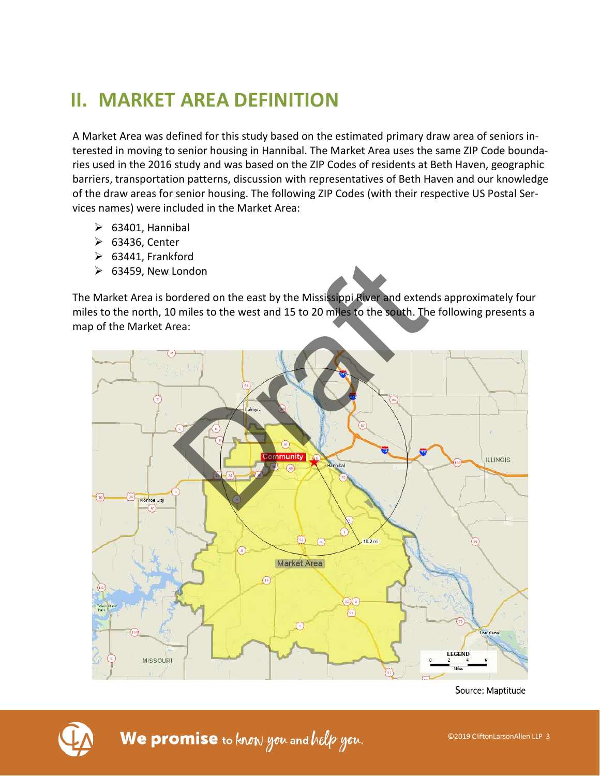# **II. MARKET AREA DEFINITION**

A Market Area was defined for this study based on the estimated primary draw area of seniors interested in moving to senior housing in Hannibal. The Market Area uses the same ZIP Code boundaries used in the 2016 study and was based on the ZIP Codes of residents at Beth Haven, geographic barriers, transportation patterns, discussion with representatives of Beth Haven and our knowledge of the draw areas for senior housing. The following ZIP Codes (with their respective US Postal Services names) were included in the Market Area:

- $\triangleright$  63401, Hannibal
- 63436, Center
- $\triangleright$  63441, Frankford
- $\geq$  63459. New London

The Market Area is bordered on the east by the Mississippi River and extends approximately four miles to the north, 10 miles to the west and 15 to 20 miles to the south. The following presents a map of the Market Area:



Source: Maptitude

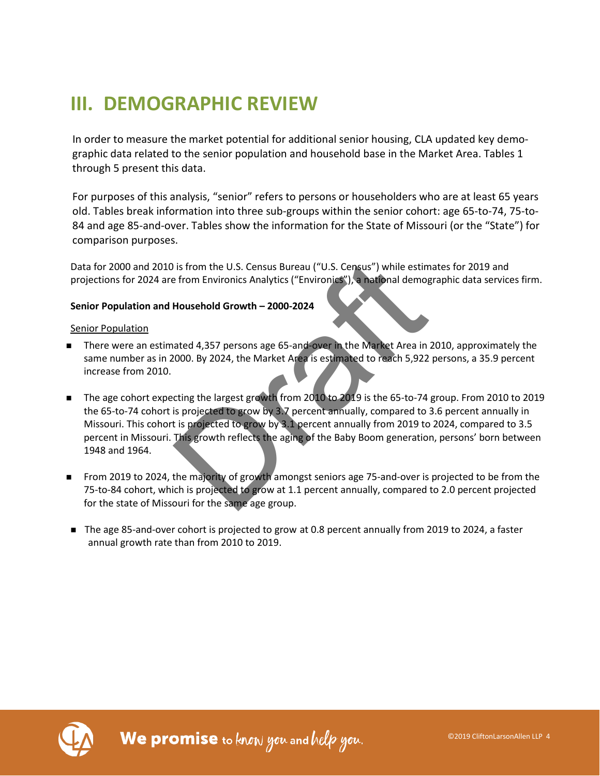# **III. DEMOGRAPHIC REVIEW**

In order to measure the market potential for additional senior housing, CLA updated key demographic data related to the senior population and household base in the Market Area. Tables 1 through 5 present this data.

For purposes of this analysis, "senior" refers to persons or householders who are at least 65 years old. Tables break information into three sub-groups within the senior cohort: age 65-to-74, 75-to-84 and age 85-and-over. Tables show the information for the State of Missouri (or the "State") for comparison purposes.

Data for 2000 and 2010 is from the U.S. Census Bureau ("U.S. Census") while estimates for 2019 and projections for 2024 are from Environics Analytics ("Environics"), a national demographic data services firm.

### **Senior Population and Household Growth – 2000-2024**

### Senior Population

- There were an estimated 4,357 persons age 65-and-over in the Market Area in 2010, approximately the same number as in 2000. By 2024, the Market Area is estimated to reach 5,922 persons, a 35.9 percent increase from 2010.
- The age cohort expecting the largest growth from 2010 to 2019 is the 65-to-74 group. From 2010 to 2019 the 65-to-74 cohort is projected to grow by 3.7 percent annually, compared to 3.6 percent annually in Missouri. This cohort is projected to grow by 3.1 percent annually from 2019 to 2024, compared to 3.5 percent in Missouri. This growth reflects the aging of the Baby Boom generation, persons' born between 1948 and 1964. i is from the U.S. Census Bureau ("U.S. Census") while estime<br>
e from Environics Analytics ("Environics"), a national demog<br>
Household Growth – 2000-2024<br>
ated 4,357 persons age 65-and-over in the Market Area in<br>
10000. By
- From 2019 to 2024, the majority of growth amongst seniors age 75-and-over is projected to be from the 75-to-84 cohort, which is projected to grow at 1.1 percent annually, compared to 2.0 percent projected for the state of Missouri for the same age group.
- The age 85-and-over cohort is projected to grow at 0.8 percent annually from 2019 to 2024, a faster annual growth rate than from 2010 to 2019.

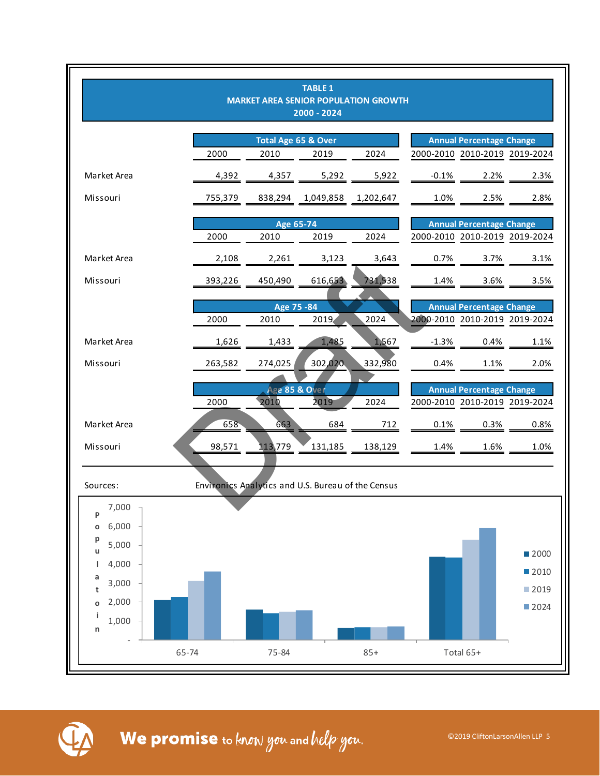

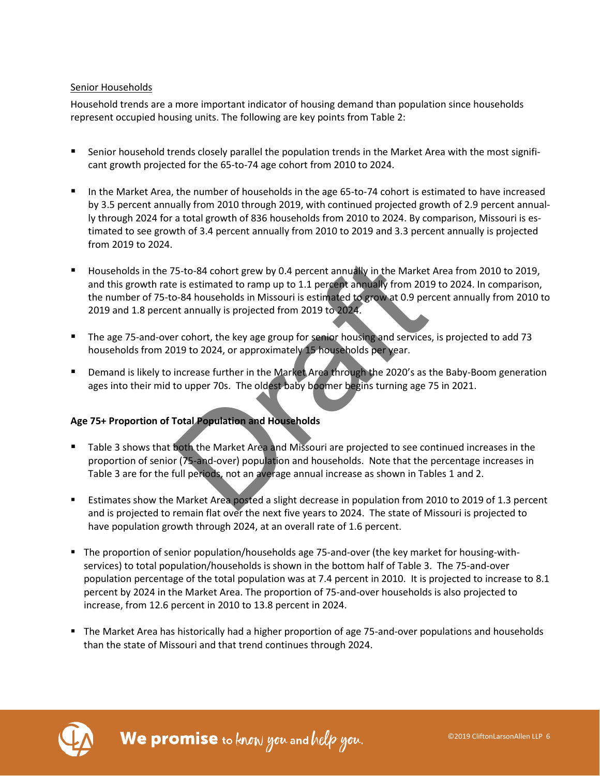### Senior Households

Household trends are a more important indicator of housing demand than population since households represent occupied housing units. The following are key points from Table 2:

- Senior household trends closely parallel the population trends in the Market Area with the most significant growth projected for the 65-to-74 age cohort from 2010 to 2024.
- In the Market Area, the number of households in the age 65-to-74 cohort is estimated to have increased by 3.5 percent annually from 2010 through 2019, with continued projected growth of 2.9 percent annually through 2024 for a total growth of 836 households from 2010 to 2024. By comparison, Missouri is estimated to see growth of 3.4 percent annually from 2010 to 2019 and 3.3 percent annually is projected from 2019 to 2024.
- Households in the 75-to-84 cohort grew by 0.4 percent annually in the Market Area from 2010 to 2019, and this growth rate is estimated to ramp up to 1.1 percent annually from 2019 to 2024. In comparison, the number of 75-to-84 households in Missouri is estimated to grow at 0.9 percent annually from 2010 to 2019 and 1.8 percent annually is projected from 2019 to 2024. 75-to-84 cohort grew by 0.4 percent annually in the Market<br>
e is estimated to ramp up to 1.1 percent annually from 201<br>
0-84 households in Missouri is estimated to grow at 0.9 per<br>
nt annually is projected from 2019 to 202
- The age 75-and-over cohort, the key age group for senior housing and services, is projected to add 73 households from 2019 to 2024, or approximately 15 households per year.
- **Demand is likely to increase further in the Market Area through the 2020's as the Baby-Boom generation** ages into their mid to upper 70s. The oldest baby boomer begins turning age 75 in 2021.

### **Age 75+ Proportion of Total Population and Households**

- Table 3 shows that both the Market Area and Missouri are projected to see continued increases in the proportion of senior (75-and-over) population and households. Note that the percentage increases in Table 3 are for the full periods, not an average annual increase as shown in Tables 1 and 2.
- Estimates show the Market Area posted a slight decrease in population from 2010 to 2019 of 1.3 percent and is projected to remain flat over the next five years to 2024. The state of Missouri is projected to have population growth through 2024, at an overall rate of 1.6 percent.
- The proportion of senior population/households age 75-and-over (the key market for housing-withservices) to total population/households is shown in the bottom half of Table 3. The 75-and-over population percentage of the total population was at 7.4 percent in 2010. It is projected to increase to 8.1 percent by 2024 in the Market Area. The proportion of 75-and-over households is also projected to increase, from 12.6 percent in 2010 to 13.8 percent in 2024.
- The Market Area has historically had a higher proportion of age 75-and-over populations and households than the state of Missouri and that trend continues through 2024.

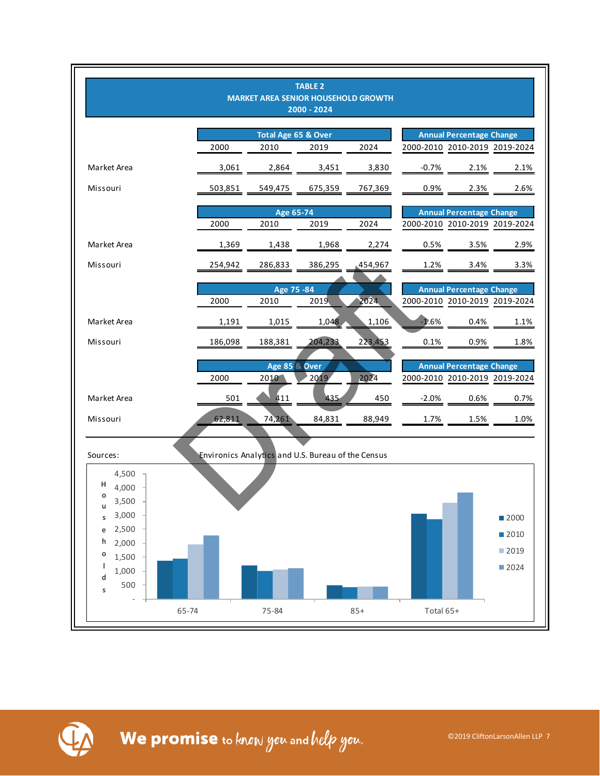

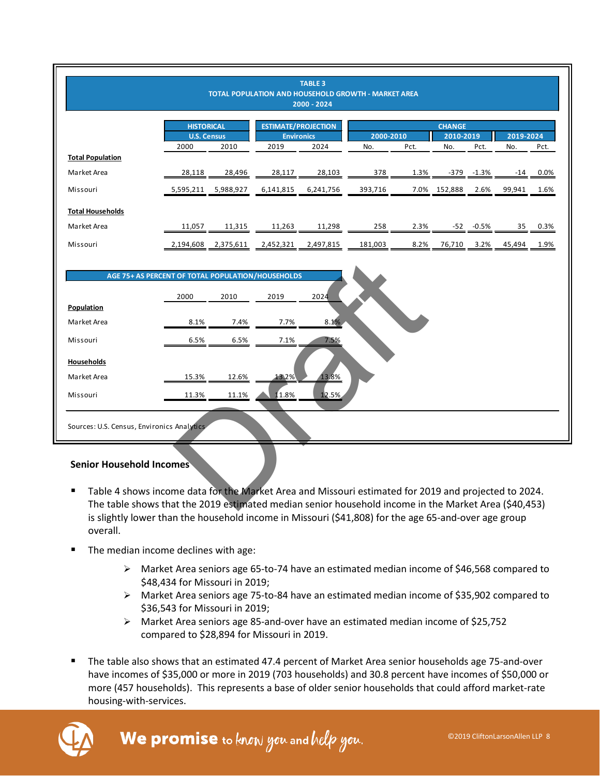|                                                                                                                                                                                                              |                            |                   |                           | <b>TABLE 3</b><br>TOTAL POPULATION AND HOUSEHOLD GROWTH - MARKET AREA<br>2000 - 2024 |                  |      |                          |         |                  |      |
|--------------------------------------------------------------------------------------------------------------------------------------------------------------------------------------------------------------|----------------------------|-------------------|---------------------------|--------------------------------------------------------------------------------------|------------------|------|--------------------------|---------|------------------|------|
|                                                                                                                                                                                                              |                            | <b>HISTORICAL</b> |                           | <b>ESTIMATE/PROJECTION</b>                                                           |                  |      | <b>CHANGE</b>            |         |                  |      |
|                                                                                                                                                                                                              | <b>U.S. Census</b><br>2000 | 2010              | <b>Environics</b><br>2019 | 2024                                                                                 | 2000-2010<br>No. | Pct. | 2010-2019<br>No.<br>Pct. |         | 2019-2024<br>No. | Pct. |
| <b>Total Population</b>                                                                                                                                                                                      |                            |                   |                           |                                                                                      |                  |      |                          |         |                  |      |
| Market Area                                                                                                                                                                                                  | 28,118                     | 28,496            | 28,117                    | 28,103                                                                               | 378              | 1.3% | -379                     | $-1.3%$ | -14              | 0.0% |
| Missouri                                                                                                                                                                                                     | 5,595,211                  | 5,988,927         | 6,141,815                 | 6,241,756                                                                            | 393,716          | 7.0% | 152,888                  | 2.6%    | 99,941           | 1.6% |
| <b>Total Households</b>                                                                                                                                                                                      |                            |                   |                           |                                                                                      |                  |      |                          |         |                  |      |
| Market Area                                                                                                                                                                                                  | 11,057                     | 11,315            | 11,263                    | 11,298                                                                               | 258              | 2.3% | -52                      | $-0.5%$ | 35               | 0.3% |
| Missouri                                                                                                                                                                                                     | 2,194,608                  | 2,375,611         | 2,452,321                 | 2,497,815                                                                            | 181,003          | 8.2% | 76,710                   | 3.2%    | 45,494           | 1.9% |
| AGE 75+ AS PERCENT OF TOTAL POPULATION/HOUSEHOLDS<br>Population                                                                                                                                              | 2000                       | 2010              | 2019                      | 2024                                                                                 |                  |      |                          |         |                  |      |
| Market Area                                                                                                                                                                                                  | 8.1%                       | 7.4%              | 7.7%                      | 8.1%                                                                                 |                  |      |                          |         |                  |      |
| Missouri                                                                                                                                                                                                     | 6.5%                       | 6.5%              | 7.1%                      | 7.5%                                                                                 |                  |      |                          |         |                  |      |
| <b>Households</b>                                                                                                                                                                                            |                            |                   |                           |                                                                                      |                  |      |                          |         |                  |      |
| Market Area                                                                                                                                                                                                  | 15.3%                      | 12.6%             | 13.2%                     | 13.8%                                                                                |                  |      |                          |         |                  |      |
| Missouri                                                                                                                                                                                                     | 11.3%                      | 11.1%             | 11.8%                     | 12.5%                                                                                |                  |      |                          |         |                  |      |
| Sources: U.S. Census, Environics Analytics                                                                                                                                                                   |                            |                   |                           |                                                                                      |                  |      |                          |         |                  |      |
| <b>Senior Household Incomes</b>                                                                                                                                                                              |                            |                   |                           |                                                                                      |                  |      |                          |         |                  |      |
| Table 4 shows income data for the Market Area and Missouri estimated for 2019 and projected to 2024.<br>The table shows that the 2019 estimated median senior household income in the Market Area (\$40,453) |                            |                   |                           |                                                                                      |                  |      |                          |         |                  |      |

### **Senior Household Incomes**

- Table 4 shows income data for the Market Area and Missouri estimated for 2019 and projected to 2024. The table shows that the 2019 estimated median senior household income in the Market Area (\$40,453) is slightly lower than the household income in Missouri (\$41,808) for the age 65-and-over age group overall.
- The median income declines with age:
	- $\triangleright$  Market Area seniors age 65-to-74 have an estimated median income of \$46,568 compared to \$48,434 for Missouri in 2019;
	- $\triangleright$  Market Area seniors age 75-to-84 have an estimated median income of \$35,902 compared to \$36,543 for Missouri in 2019;
	- Market Area seniors age 85-and-over have an estimated median income of \$25,752 compared to \$28,894 for Missouri in 2019.
- The table also shows that an estimated 47.4 percent of Market Area senior households age 75-and-over have incomes of \$35,000 or more in 2019 (703 households) and 30.8 percent have incomes of \$50,000 or more (457 households). This represents a base of older senior households that could afford market-rate housing-with-services.

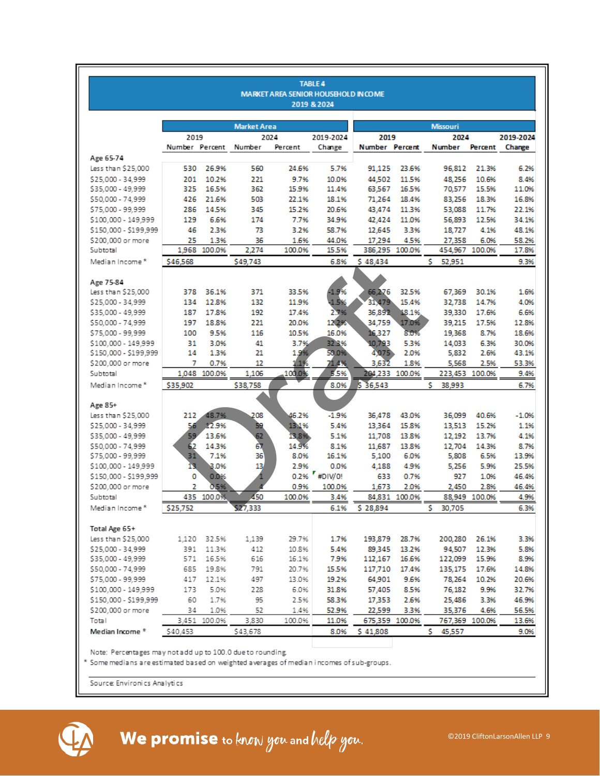|                       |                |              |                    |                                             | <b>TABLE 4</b> |                |                |                 |                |           |
|-----------------------|----------------|--------------|--------------------|---------------------------------------------|----------------|----------------|----------------|-----------------|----------------|-----------|
|                       |                |              |                    | <b>MARKET AREA SENIOR HOUSEHOLD IN COME</b> | 2019 & 2024    |                |                |                 |                |           |
|                       |                |              |                    |                                             |                |                |                |                 |                |           |
|                       |                |              | <b>Market Area</b> |                                             |                |                |                | <b>Missouri</b> |                |           |
|                       | 2019           |              |                    | 2024                                        | 2019-2024      | 2019           |                | 2024            |                | 2019-2024 |
|                       | Number Percent |              | Number             | Percent                                     | Change         | Number Percent |                | <b>Number</b>   | Percent        | Change    |
| Age 65-74             |                |              |                    |                                             |                |                |                |                 |                |           |
| Less than \$25,000    | 530            | 26.9%        | 560                | 24.6%                                       | 5.7%           | 91,125         | 23.6%          | 96,812          | 21.3%          | 6.2%      |
| \$25,000 - 34,999     | 201            | 10.2%        | 221                | 9.7%                                        | 10.0%          | 44,502         | 11.5%          | 48,256          | 10.6%          | 8.4%      |
| \$35,000 - 49,999     | 325            | 16.5%        | 362                | 15.9%                                       | 11.4%          | 63,567         | 16.5%          | 70,577          | 15.5%          | 11.0%     |
| \$50,000 - 74,999     | 426            | 21.6%        | 503                | 22.1%                                       | 18.1%          | 71,264         | 18.4%          | 83,256          | 18.3%          | 16.8%     |
| \$75,000 - 99,999     | 286            | 14.5%        | 345                | 15.2%                                       | 20.6%          | 43,474         | 11.3%          | 53,088          | 11.7%          | 22.1%     |
| \$100,000 - 149,999   | 129            | 6.6%         | 174                | 7.7%                                        | 34.9%          | 42,424         | 11.0%          | 56,893          | 12.5%          | 34.1%     |
| \$150,000 - \$199,999 | 46             | 2.3%         | 73                 | 3.2%                                        | 58.7%          | 12,645         | 3.3%           | 18,727          | 4.1%           | 48.1%     |
| \$200,000 or more     | 25             | 1.3%         | 36                 | 1.6%                                        | 44.0%          | 17,294         | 4.5%           | 27,358          | 6.0%           | 58.2%     |
| Subtotal              |                | 1,968 100.0% | 2,274              | 100.0%                                      | 15.5%          |                | 386,295 100.0% | 454,967 100.0%  |                | 17.8%     |
| Median Income*        | \$46,568       |              | \$49,743           |                                             | 6.8%           | \$48,434       |                | s.<br>52,951    |                | 9.3%      |
|                       |                |              |                    |                                             |                |                |                |                 |                |           |
| Age 75-84             |                |              |                    |                                             |                |                |                |                 |                |           |
| Less than \$25,000    | 378            | 36.1%        | 371                | 33.5%                                       | $-1.9%$        | 66,276         | 32.5%          | 67,369          | 30.1%          | 1.6%      |
| \$25,000 - 34,999     | 134            | 12.8%        | 132                | 11.9%                                       | $-1.5%$        | 31,479         | 15.4%          | 32,738          | 14.7%          | 4.0%      |
| \$35,000 - 49,999     | 187            | 17.8%        | 192                | 17.4%                                       | 2.7%           | 36,892         | 18.1%          | 39,330          | 17.6%          | 6.6%      |
| \$50,000 - 74,999     | 197            | 18.8%        | 221                | 20.0%                                       | 12.2%          | 34,759         | 17.0%          | 39,215          | 17.5%          | 12.8%     |
| \$75,000 - 99,999     | 100            | 9.5%         | 116                | 10.5%                                       | 16.0%          | 16,327         | 8.0%           | 19,368          | 8.7%           | 18.6%     |
| \$100,000 - 149,999   | 31             | 3.0%         | 41                 | 3.7%                                        | 32.3%          | 10.793         | 5.3%           | 14,033          | 6.3%           | 30.0%     |
| \$150,000 - \$199,999 | 14             | 1.3%         | 21                 | 1.9%                                        | 50.0%          | 4,075          | 2.0%           | 5,832           | 2.6%           | 43.1%     |
| \$200,000 or more     | 7              | 0.7%         | 12                 | $1.1\%$                                     | 71.4%          | 3,632          | 1.8%           | 5,568           | 2.5%           | 53.3%     |
| Subtotal              |                | 1,048 100.0% | 1,106              | 100.0%                                      | 5.5%           |                | 204,233 100.0% |                 | 223,453 100.0% | 9.4%      |
| Median Income*        | \$35,902       |              | \$38,758           |                                             | 8.0%           | \$36,543       |                | s<br>38,993     |                | 6.7%      |
|                       |                |              |                    |                                             |                |                |                |                 |                |           |
| Age 85+               |                |              |                    |                                             |                |                |                |                 |                |           |
| Less than \$25,000    | 212            | 48.7%        | 208                | 46.2%                                       | $-1.9%$        | 36.478         | 43.0%          | 36,099          | 40.6%          | $-1.0%$   |
| \$25,000 - 34,999     | 56.            | 12.9%        | 59                 | 1311%                                       | 5.4%           | 13,364         | 15.8%          | 13,513          | 15.2%          | 1.1%      |
| \$35,000 - 49,999     | 59             | 13.6%        | 62                 | 13.8%                                       | 5.1%           | 11,708         | 13.8%          | 12,192          | 13.7%          | 4.1%      |
| \$50,000 - 74,999     | 62             | 14.3%        | 67                 | 14.9%                                       | 8.1%           | 11,687         | 13.8%          | 12,704          | 14.3%          | 8.7%      |
| \$75,000 - 99,999     | 31             | 7.1%         | 36                 | 8.0%                                        | 16.1%          | 5,100          | 6.0%           | 5,808           | 6.5%           | 13.9%     |
| \$100,000 - 149,999   | 13.            | 3.0%         | 13                 | 2.9%                                        | 0.0%           | 4,188          | 4.9%           | 5,256           | 5.9%           | 25.5%     |
| \$150,000 - \$199,999 | 0              | 0.0%         |                    |                                             | 0.2% #DIV/0!   | 633            | 0.7%           | 927             | 1.0%           | 46.4%     |
| \$200,000 or more     | 2              | 0.5%         |                    | 0.9%                                        | 100.0%         | 1,673          | 2.0%           | 2,450           | 2.8%           | 46.4%     |
| Subtotal              |                | 435 100.0%   | 450                | 100.0%                                      | 3.4%           |                | 84,831 100.0%  |                 | 88.949 100.0%  | 4.9%      |
| Median Income*        | \$25,752       |              | \$27,333           |                                             | 6.1%           | \$28,894       |                | s.<br>30,705    |                | 6.3%      |
|                       |                |              |                    |                                             |                |                |                |                 |                |           |
| Total Age 65+         |                |              |                    |                                             |                |                |                |                 |                |           |
| Less than \$25,000    |                | 1,120 32.5%  | 1,139              | 29.7%                                       | 1.7%           |                | 193,879 28.7%  |                 | 200,280 26.1%  | 3.3%      |
| \$25,000 - 34,999     |                | 391 11.3%    | 412                | 10.8%                                       | 5.4%           |                | 89,345 13.2%   | 94,507          | 12.3%          | 5.8%      |
| \$35,000 - 49,999     | 571            | 16.5%        | 616                | 16.1%                                       | 7.9%           | 112,167        | 16.6%          | 122,099         | 15.9%          | 8.9%      |
| \$50,000 - 74,999     | 685            | 19.8%        | 791                | 20.7%                                       | 15.5%          |                | 117,710 17.4%  |                 | 135,175 17.6%  | 14.8%     |
| \$75,000 - 99,999     | 417            | 12.1%        | 497                | 13.0%                                       | 19.2%          | 64,901         | 9.6%           | 78,264          | 10.2%          | 20.6%     |
| \$100,000 - 149,999   | 173            | 5.0%         | 228                | 6.0%                                        | 31.8%          | 57,405         | 8.5%           | 76,182          | 9.9%           | 32.7%     |
| \$150,000 - \$199,999 | 60             | 1.7%         | 95                 | 2.5%                                        | 58.3%          | 17,353         | 2.6%           | 25,486          | 3.3%           | 46.9%     |
| \$200,000 or more     | 34             | 1.0%         | 52                 | 1.4%                                        | 52.9%          | 22,599         | 3.3%           | 35,376          | 4.6%           | 56.5%     |
| Total                 |                | 3.451 100.0% | 3,830              | 100.0%                                      | 11.0%          |                | 675,359 100.0% |                 | 767,369 100.0% | 13.6%     |
| Median Income *       | \$40,453       |              | \$43,678           |                                             | 8.0%           | \$41,808       |                | s.<br>45,557    |                | 9.0%      |
|                       |                |              |                    |                                             |                |                |                |                 |                |           |

\* Some medians are estimated based on weighted averages of median incomes of sub-groups.

Source: Environics Analytics



We promise to know you and help you.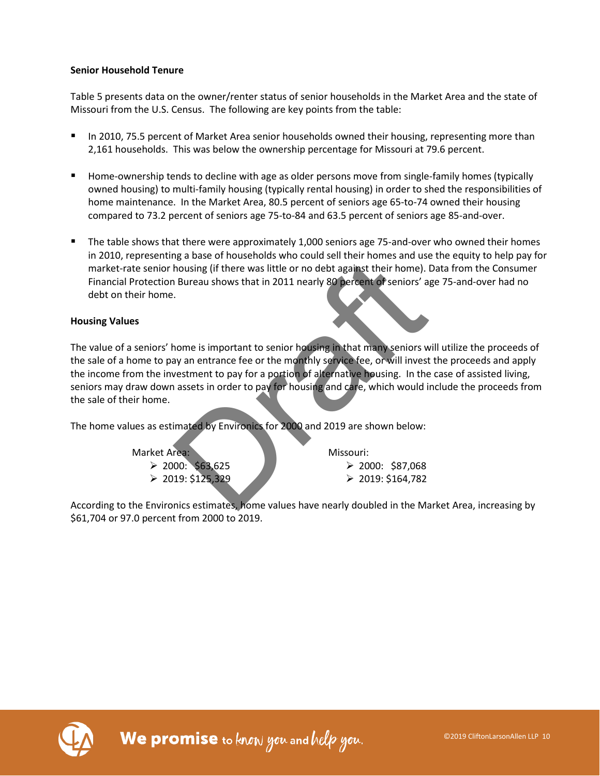### **Senior Household Tenure**

Table 5 presents data on the owner/renter status of senior households in the Market Area and the state of Missouri from the U.S. Census. The following are key points from the table:

- In 2010, 75.5 percent of Market Area senior households owned their housing, representing more than 2,161 households. This was below the ownership percentage for Missouri at 79.6 percent.
- **Home-ownership tends to decline with age as older persons move from single-family homes (typically** owned housing) to multi-family housing (typically rental housing) in order to shed the responsibilities of home maintenance. In the Market Area, 80.5 percent of seniors age 65-to-74 owned their housing compared to 73.2 percent of seniors age 75-to-84 and 63.5 percent of seniors age 85-and-over.
- The table shows that there were approximately 1,000 seniors age 75-and-over who owned their homes in 2010, representing a base of households who could sell their homes and use the equity to help pay for market-rate senior housing (if there was little or no debt against their home). Data from the Consumer Financial Protection Bureau shows that in 2011 nearly 80 percent of seniors' age 75-and-over had no debt on their home.

### **Housing Values**

The value of a seniors' home is important to senior housing in that many seniors will utilize the proceeds of the sale of a home to pay an entrance fee or the monthly service fee, or will invest the proceeds and apply the income from the investment to pay for a portion of alternative housing. In the case of assisted living, seniors may draw down assets in order to pay for housing and care, which would include the proceeds from the sale of their home. The same of induces the same that in the same the same three interests and the same of the same shows that in 2011 nearly 80 percent of seniors' and the same shows that in 2011 nearly 80 percent of seniors' and the senior

The home values as estimated by Environics for 2000 and 2019 are shown below:

Market Area:  $\geq$  2000: \$63,625  $\geq 2019: $125,329$ 

Missouri:  $\geq$  2000: \$87,068  $\geq 2019: $164,782$ 

According to the Environics estimates, home values have nearly doubled in the Market Area, increasing by \$61,704 or 97.0 percent from 2000 to 2019.

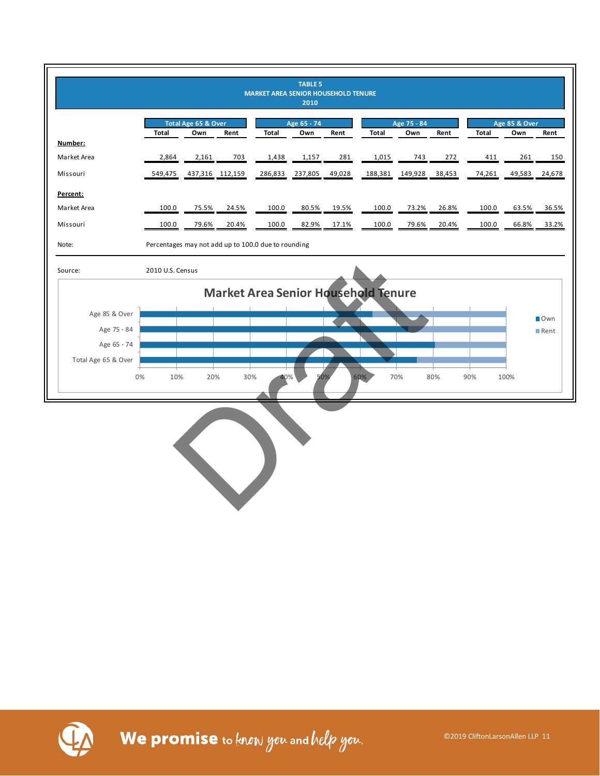

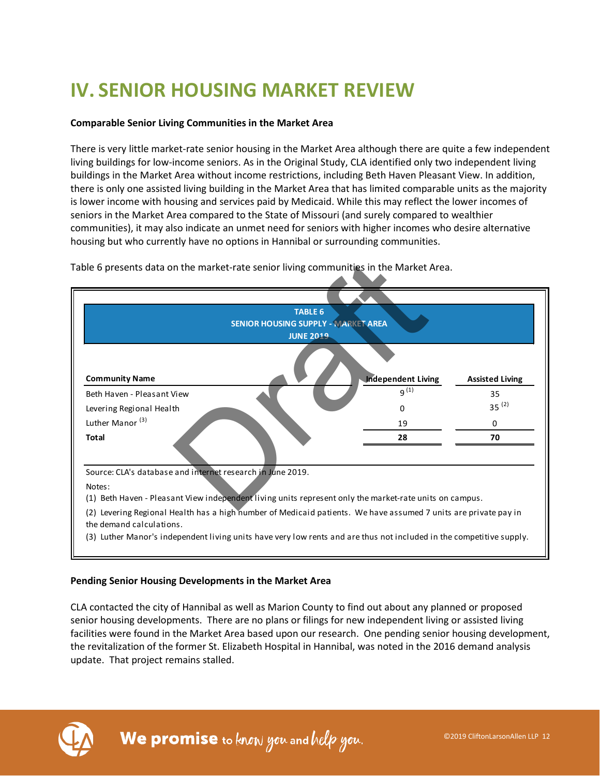# **IV. SENIOR HOUSING MARKET REVIEW**

### **Comparable Senior Living Communities in the Market Area**

There is very little market-rate senior housing in the Market Area although there are quite a few independent living buildings for low-income seniors. As in the Original Study, CLA identified only two independent living buildings in the Market Area without income restrictions, including Beth Haven Pleasant View. In addition, there is only one assisted living building in the Market Area that has limited comparable units as the majority is lower income with housing and services paid by Medicaid. While this may reflect the lower incomes of seniors in the Market Area compared to the State of Missouri (and surely compared to wealthier communities), it may also indicate an unmet need for seniors with higher incomes who desire alternative housing but who currently have no options in Hannibal or surrounding communities.



Table 6 presents data on the market-rate senior living communities in the Market Area.

### **Pending Senior Housing Developments in the Market Area**

CLA contacted the city of Hannibal as well as Marion County to find out about any planned or proposed senior housing developments. There are no plans or filings for new independent living or assisted living facilities were found in the Market Area based upon our research. One pending senior housing development, the revitalization of the former St. Elizabeth Hospital in Hannibal, was noted in the 2016 demand analysis update. That project remains stalled.

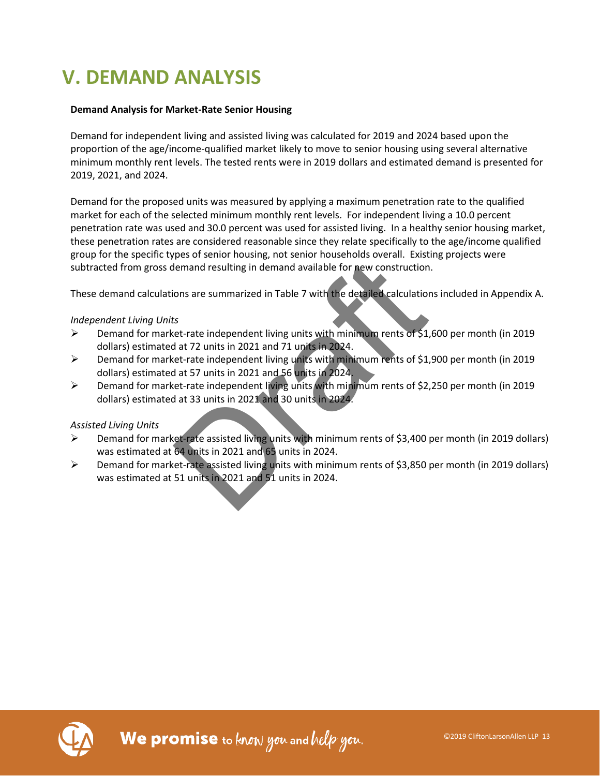# **V. DEMAND ANALYSIS**

### **Demand Analysis for Market-Rate Senior Housing**

Demand for independent living and assisted living was calculated for 2019 and 2024 based upon the proportion of the age/income-qualified market likely to move to senior housing using several alternative minimum monthly rent levels. The tested rents were in 2019 dollars and estimated demand is presented for 2019, 2021, and 2024.

Demand for the proposed units was measured by applying a maximum penetration rate to the qualified market for each of the selected minimum monthly rent levels. For independent living a 10.0 percent penetration rate was used and 30.0 percent was used for assisted living. In a healthy senior housing market, these penetration rates are considered reasonable since they relate specifically to the age/income qualified group for the specific types of senior housing, not senior households overall. Existing projects were subtracted from gross demand resulting in demand available for new construction.

These demand calculations are summarized in Table 7 with the detailed calculations included in Appendix A.

### *Independent Living Units*

- Demand for market-rate independent living units with minimum rents of \$1,600 per month (in 2019 dollars) estimated at 72 units in 2021 and 71 units in 2024. best of Senior Hodsing, the Senior Hodsing Christian Existed External resulting in demand available for new construction<br>ons are summarized in Table 7 with the detailed calculation<br>ons are summarized in Table 7 with the de
- Demand for market-rate independent living units with minimum rents of \$1,900 per month (in 2019 dollars) estimated at 57 units in 2021 and 56 units in 2024.
- Demand for market-rate independent living units with minimum rents of \$2,250 per month (in 2019 dollars) estimated at 33 units in 2021 and 30 units in 2024.

### *Assisted Living Units*

- Demand for market-rate assisted living units with minimum rents of \$3,400 per month (in 2019 dollars) was estimated at 64 units in 2021 and 65 units in 2024.
- $\triangleright$  Demand for market-rate assisted living units with minimum rents of \$3,850 per month (in 2019 dollars) was estimated at 51 units in 2021 and 51 units in 2024.

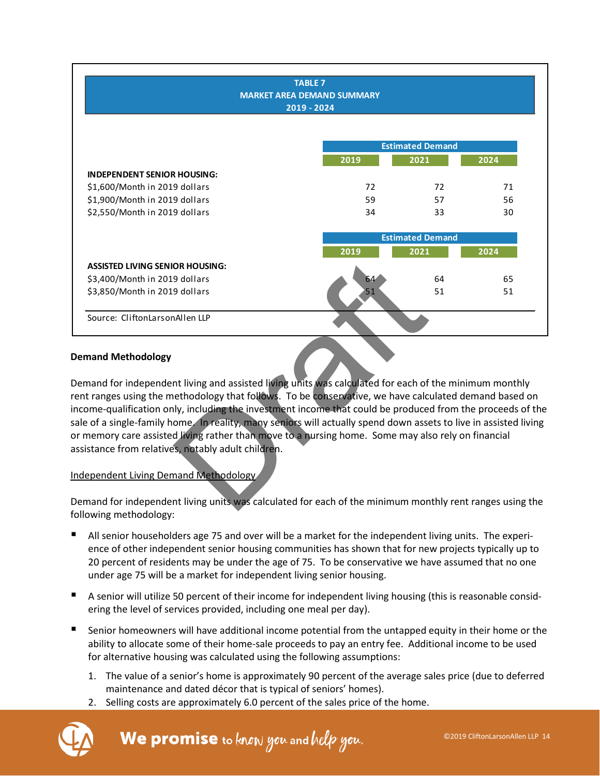|                                                                                                                   | <b>TABLE 7</b><br><b>MARKET AREA DEMAND SUMMARY</b> |                         |      |
|-------------------------------------------------------------------------------------------------------------------|-----------------------------------------------------|-------------------------|------|
|                                                                                                                   | 2019 - 2024                                         |                         |      |
|                                                                                                                   |                                                     |                         |      |
|                                                                                                                   |                                                     | <b>Estimated Demand</b> |      |
|                                                                                                                   | 2019                                                | 2021                    | 2024 |
| <b>INDEPENDENT SENIOR HOUSING:</b>                                                                                |                                                     |                         |      |
| \$1,600/Month in 2019 dollars                                                                                     | 72                                                  | 72                      | 71   |
| \$1,900/Month in 2019 dollars                                                                                     | 59                                                  | 57                      | 56   |
| \$2,550/Month in 2019 dollars                                                                                     | 34                                                  | 33                      | 30   |
|                                                                                                                   |                                                     | <b>Estimated Demand</b> |      |
|                                                                                                                   | 2019                                                | 2021                    | 2024 |
| <b>ASSISTED LIVING SENIOR HOUSING:</b>                                                                            |                                                     |                         |      |
| \$3,400/Month in 2019 dollars                                                                                     | 64                                                  | 64                      | 65   |
| \$3,850/Month in 2019 dollars                                                                                     | 51                                                  | 51                      | 51   |
|                                                                                                                   |                                                     |                         |      |
| Source: CliftonLarsonAllen LLP                                                                                    |                                                     |                         |      |
|                                                                                                                   |                                                     |                         |      |
| <b>Demand Methodology</b>                                                                                         |                                                     |                         |      |
| Demand for independent living and assisted living units was calculated for each of the minimum monthly            |                                                     |                         |      |
| ent ranges using the methodology that follows. To be conservative, we have calculated demand based on             |                                                     |                         |      |
| income-qualification only, including the investment income that could be produced from the proceeds of the        |                                                     |                         |      |
| sale of a single-family home. In reality, many seniors will actually spend down assets to live in assisted living |                                                     |                         |      |
| or memory care assisted living rather than move to a nursing home. Some may also rely on financial                |                                                     |                         |      |
|                                                                                                                   |                                                     |                         |      |
| assistance from relatives, notably adult children.                                                                |                                                     |                         |      |
|                                                                                                                   |                                                     |                         |      |
| Independent Living Demand Methodology                                                                             |                                                     |                         |      |
|                                                                                                                   |                                                     |                         |      |
| Demand for independent living units was calculated for each of the minimum monthly rent ranges using the          |                                                     |                         |      |
|                                                                                                                   |                                                     |                         |      |

### **Demand Methodology**

### Independent Living Demand Methodology

Demand for independent living units was calculated for each of the minimum monthly rent ranges using the following methodology:

- All senior householders age 75 and over will be a market for the independent living units. The experience of other independent senior housing communities has shown that for new projects typically up to 20 percent of residents may be under the age of 75. To be conservative we have assumed that no one under age 75 will be a market for independent living senior housing.
- A senior will utilize 50 percent of their income for independent living housing (this is reasonable considering the level of services provided, including one meal per day).
- Senior homeowners will have additional income potential from the untapped equity in their home or the ability to allocate some of their home-sale proceeds to pay an entry fee. Additional income to be used for alternative housing was calculated using the following assumptions:
	- 1. The value of a senior's home is approximately 90 percent of the average sales price (due to deferred maintenance and dated décor that is typical of seniors' homes).
	- 2. Selling costs are approximately 6.0 percent of the sales price of the home.

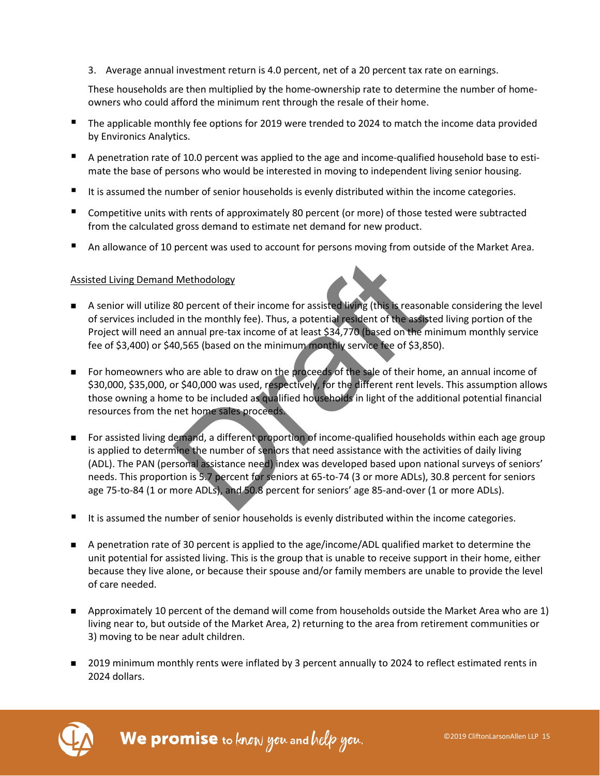3. Average annual investment return is 4.0 percent, net of a 20 percent tax rate on earnings.

These households are then multiplied by the home-ownership rate to determine the number of homeowners who could afford the minimum rent through the resale of their home.

- The applicable monthly fee options for 2019 were trended to 2024 to match the income data provided by Environics Analytics.
- A penetration rate of 10.0 percent was applied to the age and income-qualified household base to estimate the base of persons who would be interested in moving to independent living senior housing.
- It is assumed the number of senior households is evenly distributed within the income categories.
- Competitive units with rents of approximately 80 percent (or more) of those tested were subtracted from the calculated gross demand to estimate net demand for new product.
- An allowance of 10 percent was used to account for persons moving from outside of the Market Area.

#### Assisted Living Demand Methodology

- A senior will utilize 80 percent of their income for assisted living (this is reasonable considering the level of services included in the monthly fee). Thus, a potential resident of the assisted living portion of the Project will need an annual pre-tax income of at least \$34,770 (based on the minimum monthly service fee of \$3,400) or \$40,565 (based on the minimum monthly service fee of \$3,850).
- For homeowners who are able to draw on the proceeds of the sale of their home, an annual income of \$30,000, \$35,000, or \$40,000 was used, respectively, for the different rent levels. This assumption allows those owning a home to be included as qualified households in light of the additional potential financial resources from the net home sales proceeds.
- **For assisted living demand, a different proportion of income-qualified households within each age group** is applied to determine the number of seniors that need assistance with the activities of daily living (ADL). The PAN (personal assistance need) index was developed based upon national surveys of seniors' needs. This proportion is 5.7 percent for seniors at 65-to-74 (3 or more ADLs), 30.8 percent for seniors age 75-to-84 (1 or more ADLs), and 50.8 percent for seniors' age 85-and-over (1 or more ADLs). Methodology<br>80 percent of their income for assisted living (this is reason<br>in the monthly fee). Thus, a potential resident of the assist<br>annual pre-tax income of at least \$34,770 (based on the m<br>0,565 (based on the minimum
- It is assumed the number of senior households is evenly distributed within the income categories.
- A penetration rate of 30 percent is applied to the age/income/ADL qualified market to determine the unit potential for assisted living. This is the group that is unable to receive support in their home, either because they live alone, or because their spouse and/or family members are unable to provide the level of care needed.
- **Approximately 10 percent of the demand will come from households outside the Market Area who are 1)** living near to, but outside of the Market Area, 2) returning to the area from retirement communities or 3) moving to be near adult children.
- 2019 minimum monthly rents were inflated by 3 percent annually to 2024 to reflect estimated rents in 2024 dollars.



We promise to know you and help you.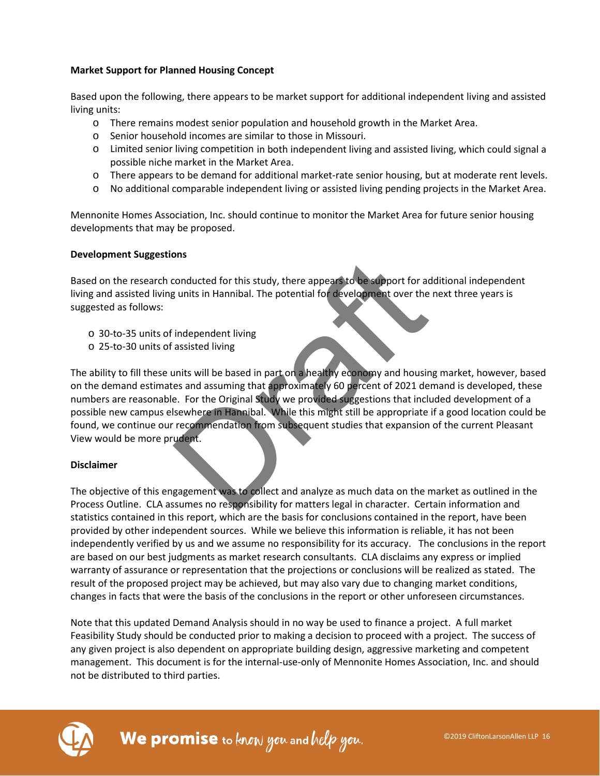### **Market Support for Planned Housing Concept**

Based upon the following, there appears to be market support for additional independent living and assisted living units:

- o There remains modest senior population and household growth in the Market Area.
- o Senior household incomes are similar to those in Missouri.
- o Limited senior living competition in both independent living and assisted living, which could signal a possible niche market in the Market Area.
- o There appears to be demand for additional market-rate senior housing, but at moderate rent levels.
- o No additional comparable independent living or assisted living pending projects in the Market Area.

Mennonite Homes Association, Inc. should continue to monitor the Market Area for future senior housing developments that may be proposed.

### **Development Suggestions**

Based on the research conducted for this study, there appears to be support for additional independent living and assisted living units in Hannibal. The potential for development over the next three years is suggested as follows:

- o 30-to-35 units of independent living
- o 25-to-30 units of assisted living

The ability to fill these units will be based in part on a healthy economy and housing market, however, based on the demand estimates and assuming that approximately 60 percent of 2021 demand is developed, these numbers are reasonable. For the Original Study we provided suggestions that included development of a possible new campus elsewhere in Hannibal. While this might still be appropriate if a good location could be found, we continue our recommendation from subsequent studies that expansion of the current Pleasant View would be more prudent. conducted for this study, there appears to be support for a<br>g units in Hannibal. The potential for development over the<br>independent living<br>assisted living<br>assisted living<br>assisted living<br>assisted living<br>assisted living<br>ass

### **Disclaimer**

The objective of this engagement was to collect and analyze as much data on the market as outlined in the Process Outline. CLA assumes no responsibility for matters legal in character. Certain information and statistics contained in this report, which are the basis for conclusions contained in the report, have been provided by other independent sources. While we believe this information is reliable, it has not been independently verified by us and we assume no responsibility for its accuracy. The conclusions in the report are based on our best judgments as market research consultants. CLA disclaims any express or implied warranty of assurance or representation that the projections or conclusions will be realized as stated. The result of the proposed project may be achieved, but may also vary due to changing market conditions, changes in facts that were the basis of the conclusions in the report or other unforeseen circumstances.

Note that this updated Demand Analysis should in no way be used to finance a project. A full market Feasibility Study should be conducted prior to making a decision to proceed with a project. The success of any given project is also dependent on appropriate building design, aggressive marketing and competent management. This document is for the internal-use-only of Mennonite Homes Association, Inc. and should not be distributed to third parties.

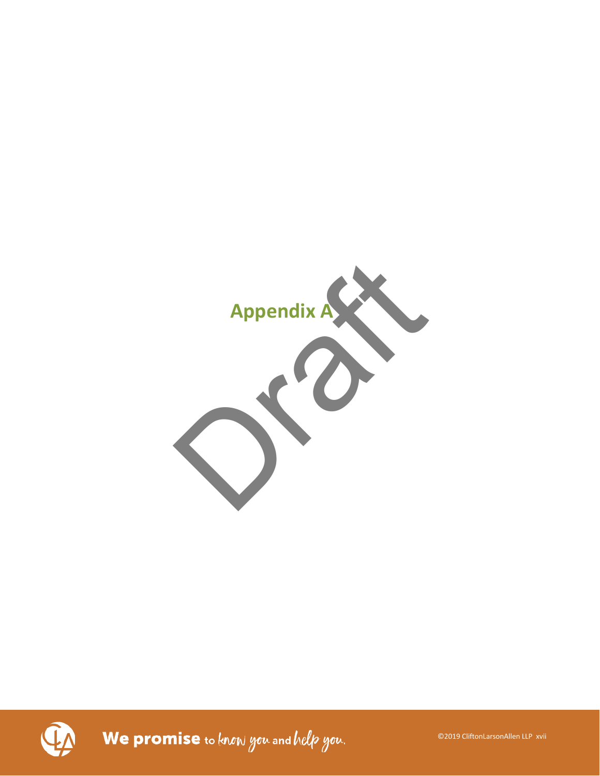

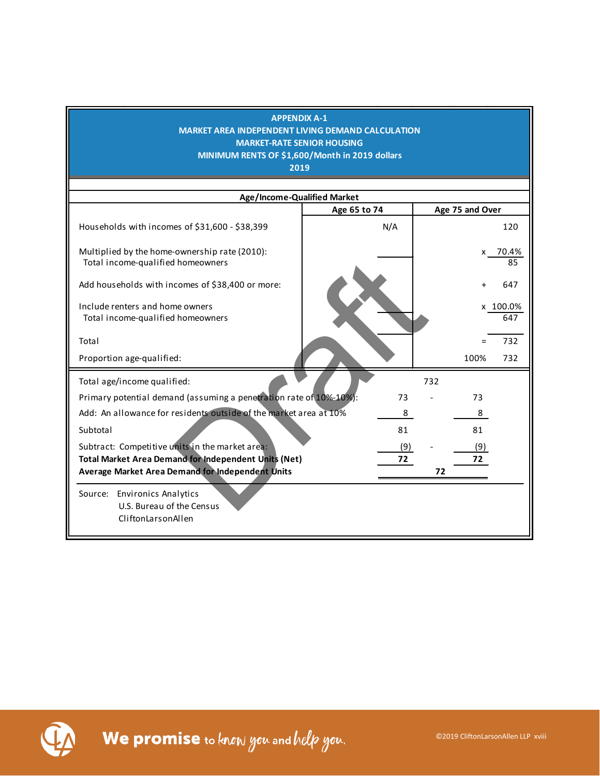| <b>APPENDIX A-1</b><br>MARKET AREA INDEPENDENT LIVING DEMAND CALCULATION<br><b>MARKET-RATE SENIOR HOUSING</b><br>MINIMUM RENTS OF \$1,600/Month in 2019 dollars<br>2019 |              |                 |
|-------------------------------------------------------------------------------------------------------------------------------------------------------------------------|--------------|-----------------|
| Age/Income-Qualified Market                                                                                                                                             |              |                 |
|                                                                                                                                                                         | Age 65 to 74 | Age 75 and Over |
| Households with incomes of \$31,600 - \$38,399                                                                                                                          | N/A          | 120             |
| Multiplied by the home-ownership rate (2010):<br>Total income-qualified homeowners                                                                                      |              | x 70.4%<br>85   |
| Add households with incomes of \$38,400 or more:                                                                                                                        |              | 647             |
| Include renters and home owners<br>Total income-qualified homeowners                                                                                                    |              | x 100.0%<br>647 |
| Total                                                                                                                                                                   |              | 732             |
| Proportion age-qualified:                                                                                                                                               |              | 732<br>100%     |
| Total age/income qualified:                                                                                                                                             |              | 732             |
| Primary potential demand (assuming a penetration rate of 10%-10%):                                                                                                      | 73           | 73              |
| Add: An allowance for residents outside of the market area at 10%                                                                                                       | 8            | 8               |
| Subtotal                                                                                                                                                                | 81           | 81              |
| Subtract: Competitive units in the market area:                                                                                                                         | (9)          | (9)             |
| Total Market Area Demand for Independent Units (Net)                                                                                                                    | 72           | 72              |
| Average Market Area Demand for Independent Units                                                                                                                        |              | 72              |
| Source: Environics Analytics                                                                                                                                            |              |                 |
| U.S. Bureau of the Census                                                                                                                                               |              |                 |
| CliftonLarsonAllen                                                                                                                                                      |              |                 |

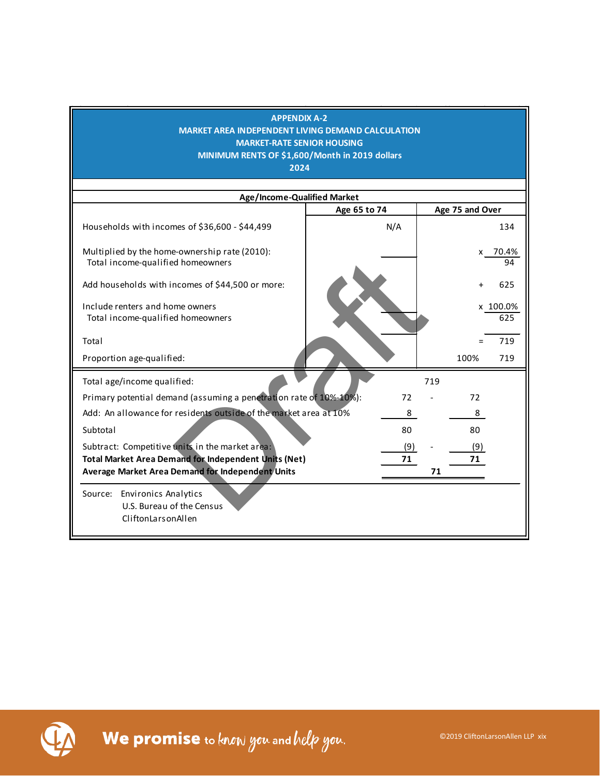| <b>APPENDIX A-2</b><br>MARKET AREA INDEPENDENT LIVING DEMAND CALCULATION<br><b>MARKET-RATE SENIOR HOUSING</b><br>MINIMUM RENTS OF \$1,600/Month in 2019 dollars<br>2024 |              |     |     |                 |                 |  |  |  |
|-------------------------------------------------------------------------------------------------------------------------------------------------------------------------|--------------|-----|-----|-----------------|-----------------|--|--|--|
| Age/Income-Qualified Market                                                                                                                                             |              |     |     |                 |                 |  |  |  |
|                                                                                                                                                                         | Age 65 to 74 |     |     | Age 75 and Over |                 |  |  |  |
| Households with incomes of \$36,600 - \$44,499                                                                                                                          | N/A          |     |     |                 | 134             |  |  |  |
| Multiplied by the home-ownership rate (2010):<br>Total income-qualified homeowners                                                                                      |              |     |     | x               | 70.4%<br>94     |  |  |  |
| Add households with incomes of \$44,500 or more:                                                                                                                        |              |     |     |                 | 625             |  |  |  |
| Include renters and home owners<br>Total income-qualified homeowners                                                                                                    |              |     |     |                 | x 100.0%<br>625 |  |  |  |
| Total                                                                                                                                                                   |              |     |     |                 | 719             |  |  |  |
| Proportion age-qualified:                                                                                                                                               |              |     |     | 100%            | 719             |  |  |  |
| Total age/income qualified:                                                                                                                                             |              |     | 719 |                 |                 |  |  |  |
| Primary potential demand (assuming a penetration rate of 10%-10%):                                                                                                      |              | 72  |     | 72              |                 |  |  |  |
| Add: An allowance for residents outside of the market area at 10%                                                                                                       |              | 8   |     | 8               |                 |  |  |  |
| Subtotal                                                                                                                                                                |              | 80  |     | 80              |                 |  |  |  |
| Subtract: Competitive units in the market area:                                                                                                                         |              | (9) |     | (9)             |                 |  |  |  |
| <b>Total Market Area Demand for Independent Units (Net)</b>                                                                                                             |              | 71  |     | 71              |                 |  |  |  |
| <b>Average Market Area Demand for Independent Units</b>                                                                                                                 |              |     | 71  |                 |                 |  |  |  |
| Source: Environics Analytics<br>U.S. Bureau of the Census<br>CliftonLarsonAllen                                                                                         |              |     |     |                 |                 |  |  |  |

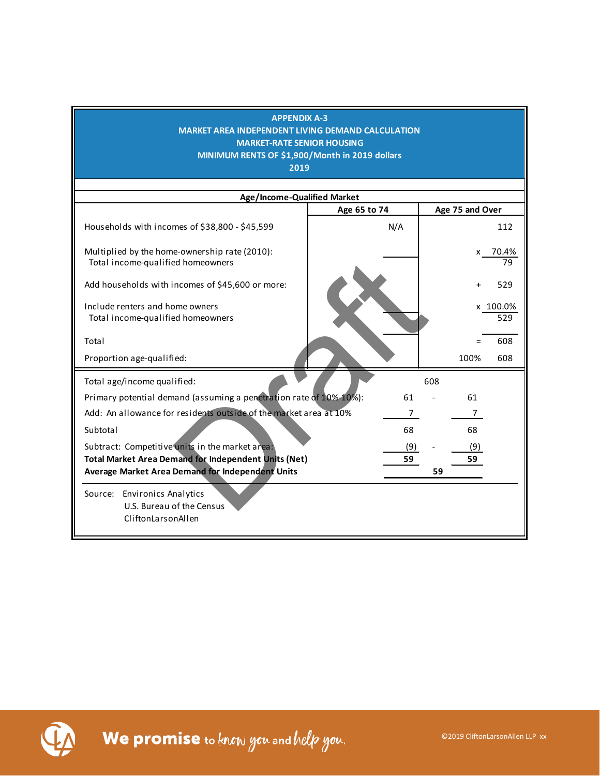| Age/Income-Qualified Market<br>Age 75 and Over<br>Age 65 to 74<br>Households with incomes of \$38,800 - \$45,599<br>N/A<br>112<br>Multiplied by the home-ownership rate (2010):<br>x 70.4%<br>Total income-qualified homeowners<br>79<br>Add households with incomes of \$45,600 or more:<br>529<br>Include renters and home owners<br>x 100.0%<br>Total income-qualified homeowners<br>529<br>608<br>Total<br>$=$<br>Proportion age-qualified:<br>100%<br>608<br>Total age/income qualified:<br>608<br>Primary potential demand (assuming a penetration rate of 10%-10%):<br>61<br>61<br>Add: An allowance for residents outside of the market area at 10%<br>7<br>7<br>68<br>68<br>Subtotal<br>Subtract: Competitive units in the market area:<br>(9)<br>(9)<br><b>Total Market Area Demand for Independent Units (Net)</b><br>59<br>59<br>Average Market Area Demand for Independent Units<br>59<br>Source: Environics Analytics<br>U.S. Bureau of the Census<br>CliftonLarsonAllen | <b>APPENDIX A-3</b><br><b>MARKET AREA INDEPENDENT LIVING DEMAND CALCULATION</b><br><b>MARKET-RATE SENIOR HOUSING</b><br>MINIMUM RENTS OF \$1,900/Month in 2019 dollars<br>2019 |  |  |
|----------------------------------------------------------------------------------------------------------------------------------------------------------------------------------------------------------------------------------------------------------------------------------------------------------------------------------------------------------------------------------------------------------------------------------------------------------------------------------------------------------------------------------------------------------------------------------------------------------------------------------------------------------------------------------------------------------------------------------------------------------------------------------------------------------------------------------------------------------------------------------------------------------------------------------------------------------------------------------------|--------------------------------------------------------------------------------------------------------------------------------------------------------------------------------|--|--|
|                                                                                                                                                                                                                                                                                                                                                                                                                                                                                                                                                                                                                                                                                                                                                                                                                                                                                                                                                                                        |                                                                                                                                                                                |  |  |
|                                                                                                                                                                                                                                                                                                                                                                                                                                                                                                                                                                                                                                                                                                                                                                                                                                                                                                                                                                                        |                                                                                                                                                                                |  |  |
|                                                                                                                                                                                                                                                                                                                                                                                                                                                                                                                                                                                                                                                                                                                                                                                                                                                                                                                                                                                        |                                                                                                                                                                                |  |  |
|                                                                                                                                                                                                                                                                                                                                                                                                                                                                                                                                                                                                                                                                                                                                                                                                                                                                                                                                                                                        |                                                                                                                                                                                |  |  |
|                                                                                                                                                                                                                                                                                                                                                                                                                                                                                                                                                                                                                                                                                                                                                                                                                                                                                                                                                                                        |                                                                                                                                                                                |  |  |
|                                                                                                                                                                                                                                                                                                                                                                                                                                                                                                                                                                                                                                                                                                                                                                                                                                                                                                                                                                                        |                                                                                                                                                                                |  |  |
|                                                                                                                                                                                                                                                                                                                                                                                                                                                                                                                                                                                                                                                                                                                                                                                                                                                                                                                                                                                        |                                                                                                                                                                                |  |  |
|                                                                                                                                                                                                                                                                                                                                                                                                                                                                                                                                                                                                                                                                                                                                                                                                                                                                                                                                                                                        |                                                                                                                                                                                |  |  |
|                                                                                                                                                                                                                                                                                                                                                                                                                                                                                                                                                                                                                                                                                                                                                                                                                                                                                                                                                                                        |                                                                                                                                                                                |  |  |
|                                                                                                                                                                                                                                                                                                                                                                                                                                                                                                                                                                                                                                                                                                                                                                                                                                                                                                                                                                                        |                                                                                                                                                                                |  |  |
|                                                                                                                                                                                                                                                                                                                                                                                                                                                                                                                                                                                                                                                                                                                                                                                                                                                                                                                                                                                        |                                                                                                                                                                                |  |  |
|                                                                                                                                                                                                                                                                                                                                                                                                                                                                                                                                                                                                                                                                                                                                                                                                                                                                                                                                                                                        |                                                                                                                                                                                |  |  |
|                                                                                                                                                                                                                                                                                                                                                                                                                                                                                                                                                                                                                                                                                                                                                                                                                                                                                                                                                                                        |                                                                                                                                                                                |  |  |
|                                                                                                                                                                                                                                                                                                                                                                                                                                                                                                                                                                                                                                                                                                                                                                                                                                                                                                                                                                                        |                                                                                                                                                                                |  |  |
|                                                                                                                                                                                                                                                                                                                                                                                                                                                                                                                                                                                                                                                                                                                                                                                                                                                                                                                                                                                        |                                                                                                                                                                                |  |  |
|                                                                                                                                                                                                                                                                                                                                                                                                                                                                                                                                                                                                                                                                                                                                                                                                                                                                                                                                                                                        |                                                                                                                                                                                |  |  |
|                                                                                                                                                                                                                                                                                                                                                                                                                                                                                                                                                                                                                                                                                                                                                                                                                                                                                                                                                                                        |                                                                                                                                                                                |  |  |

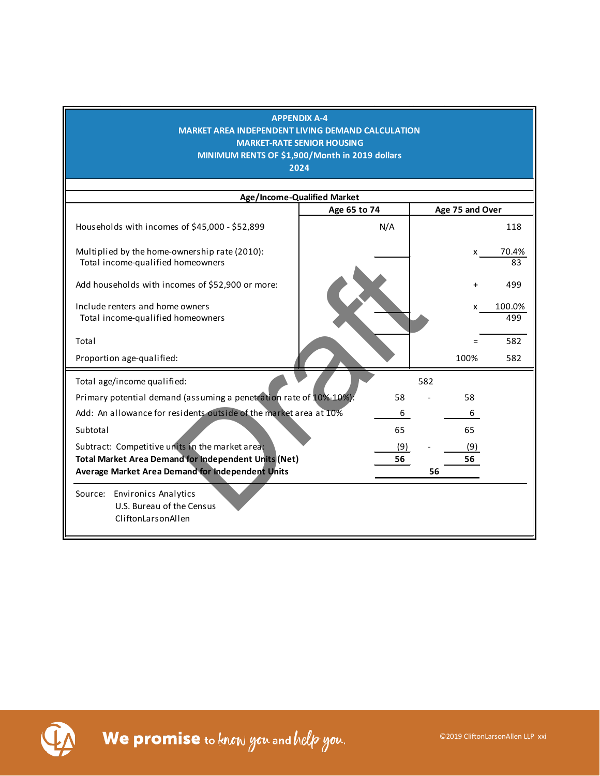| <b>APPENDIX A-4</b><br><b>MARKET AREA INDEPENDENT LIVING DEMAND CALCULATION</b><br><b>MARKET-RATE SENIOR HOUSING</b><br>MINIMUM RENTS OF \$1,900/Month in 2019 dollars<br>2024<br>Age/Income-Qualified Market |              |     |     |                 |               |  |  |  |  |
|---------------------------------------------------------------------------------------------------------------------------------------------------------------------------------------------------------------|--------------|-----|-----|-----------------|---------------|--|--|--|--|
|                                                                                                                                                                                                               |              |     |     |                 |               |  |  |  |  |
|                                                                                                                                                                                                               | Age 65 to 74 |     |     | Age 75 and Over |               |  |  |  |  |
| Households with incomes of \$45,000 - \$52,899                                                                                                                                                                |              | N/A |     |                 | 118           |  |  |  |  |
| Multiplied by the home-ownership rate (2010):<br>Total income-qualified homeowners                                                                                                                            |              |     |     | x.              | 70.4%<br>83   |  |  |  |  |
| Add households with incomes of \$52,900 or more:                                                                                                                                                              |              |     |     |                 | 499           |  |  |  |  |
| Include renters and home owners<br>Total income-qualified homeowners                                                                                                                                          |              |     |     | x               | 100.0%<br>499 |  |  |  |  |
| Total                                                                                                                                                                                                         |              |     |     | $=$             | 582           |  |  |  |  |
| Proportion age-qualified:                                                                                                                                                                                     |              |     |     | 100%            | 582           |  |  |  |  |
| Total age/income qualified:                                                                                                                                                                                   |              |     | 582 |                 |               |  |  |  |  |
| Primary potential demand (assuming a penetration rate of 10%-10%):                                                                                                                                            |              | 58  |     | 58              |               |  |  |  |  |
| Add: An allowance for residents outside of the market area at 10%                                                                                                                                             |              | 6   |     | 6               |               |  |  |  |  |
| Subtotal                                                                                                                                                                                                      |              | 65  |     | 65              |               |  |  |  |  |
| Subtract: Competitive units in the market area;                                                                                                                                                               |              | (9) |     | (9)             |               |  |  |  |  |
| <b>Total Market Area Demand for Independent Units (Net)</b>                                                                                                                                                   |              | 56  |     | 56              |               |  |  |  |  |
| Average Market Area Demand for Independent Units                                                                                                                                                              |              |     | 56  |                 |               |  |  |  |  |
| Source: Environics Analytics<br>U.S. Bureau of the Census<br>CliftonLarsonAllen                                                                                                                               |              |     |     |                 |               |  |  |  |  |

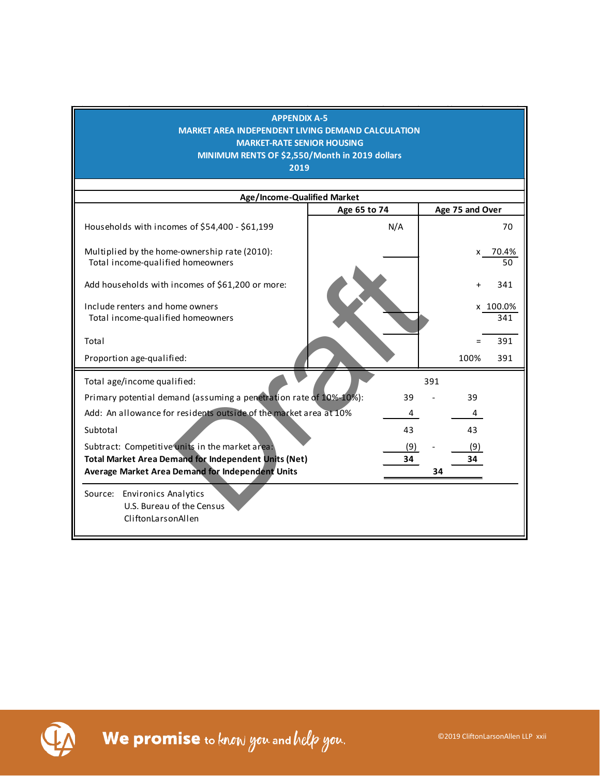| Age/Income-Qualified Market<br>Age 75 and Over<br>Age 65 to 74<br>N/A<br>Households with incomes of \$54,400 - \$61,199<br>70<br>Multiplied by the home-ownership rate (2010):<br>x 70.4%<br>Total income-qualified homeowners<br>50<br>Add households with incomes of \$61,200 or more:<br>341<br>Include renters and home owners<br>x 100.0%<br>Total income-qualified homeowners<br>341<br>391<br>Total<br>Proportion age-qualified:<br>100%<br>391<br>Total age/income qualified:<br>391<br>Primary potential demand (assuming a penetration rate of 10%-10%):<br>39<br>39<br>Add: An allowance for residents outside of the market area at 10%<br>4<br>43<br>43<br>Subtotal<br>Subtract: Competitive units in the market area:<br>(9)<br>(9)<br><b>Total Market Area Demand for Independent Units (Net)</b><br>34<br>34<br>Average Market Area Demand for Independent Units<br>34 | <b>APPENDIX A-5</b><br>MARKET AREA INDEPENDENT LIVING DEMAND CALCULATION<br><b>MARKET-RATE SENIOR HOUSING</b><br>MINIMUM RENTS OF \$2,550/Month in 2019 dollars<br>2019 |  |
|----------------------------------------------------------------------------------------------------------------------------------------------------------------------------------------------------------------------------------------------------------------------------------------------------------------------------------------------------------------------------------------------------------------------------------------------------------------------------------------------------------------------------------------------------------------------------------------------------------------------------------------------------------------------------------------------------------------------------------------------------------------------------------------------------------------------------------------------------------------------------------------|-------------------------------------------------------------------------------------------------------------------------------------------------------------------------|--|
|                                                                                                                                                                                                                                                                                                                                                                                                                                                                                                                                                                                                                                                                                                                                                                                                                                                                                        |                                                                                                                                                                         |  |
|                                                                                                                                                                                                                                                                                                                                                                                                                                                                                                                                                                                                                                                                                                                                                                                                                                                                                        |                                                                                                                                                                         |  |
|                                                                                                                                                                                                                                                                                                                                                                                                                                                                                                                                                                                                                                                                                                                                                                                                                                                                                        |                                                                                                                                                                         |  |
|                                                                                                                                                                                                                                                                                                                                                                                                                                                                                                                                                                                                                                                                                                                                                                                                                                                                                        |                                                                                                                                                                         |  |
|                                                                                                                                                                                                                                                                                                                                                                                                                                                                                                                                                                                                                                                                                                                                                                                                                                                                                        |                                                                                                                                                                         |  |
|                                                                                                                                                                                                                                                                                                                                                                                                                                                                                                                                                                                                                                                                                                                                                                                                                                                                                        |                                                                                                                                                                         |  |
|                                                                                                                                                                                                                                                                                                                                                                                                                                                                                                                                                                                                                                                                                                                                                                                                                                                                                        |                                                                                                                                                                         |  |
|                                                                                                                                                                                                                                                                                                                                                                                                                                                                                                                                                                                                                                                                                                                                                                                                                                                                                        |                                                                                                                                                                         |  |
|                                                                                                                                                                                                                                                                                                                                                                                                                                                                                                                                                                                                                                                                                                                                                                                                                                                                                        |                                                                                                                                                                         |  |
|                                                                                                                                                                                                                                                                                                                                                                                                                                                                                                                                                                                                                                                                                                                                                                                                                                                                                        |                                                                                                                                                                         |  |
|                                                                                                                                                                                                                                                                                                                                                                                                                                                                                                                                                                                                                                                                                                                                                                                                                                                                                        |                                                                                                                                                                         |  |
|                                                                                                                                                                                                                                                                                                                                                                                                                                                                                                                                                                                                                                                                                                                                                                                                                                                                                        |                                                                                                                                                                         |  |
|                                                                                                                                                                                                                                                                                                                                                                                                                                                                                                                                                                                                                                                                                                                                                                                                                                                                                        |                                                                                                                                                                         |  |
|                                                                                                                                                                                                                                                                                                                                                                                                                                                                                                                                                                                                                                                                                                                                                                                                                                                                                        |                                                                                                                                                                         |  |
|                                                                                                                                                                                                                                                                                                                                                                                                                                                                                                                                                                                                                                                                                                                                                                                                                                                                                        |                                                                                                                                                                         |  |
| U.S. Bureau of the Census<br>CliftonLarsonAllen                                                                                                                                                                                                                                                                                                                                                                                                                                                                                                                                                                                                                                                                                                                                                                                                                                        | Source: Environics Analytics                                                                                                                                            |  |

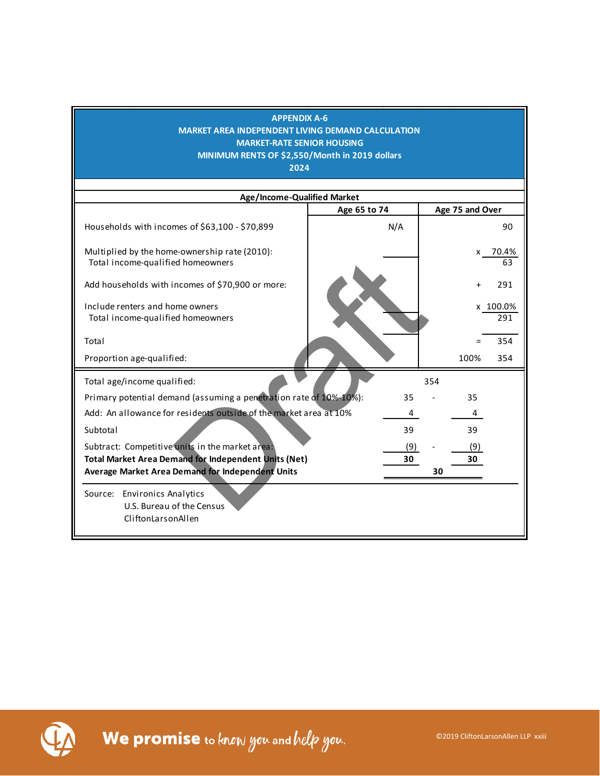## **APPENDIX A-6 MARKET AREA INDEPENDENT LIVING DEMAND CALCULATION MARKET-RATE SENIOR HOUSING MINIMUM RENTS OF \$2,550/Month in 2019 dollars 2024 Age/Income-Qualified Market** Households with incomes of  $$63,100 - $70,899$  N/A | 90 Multiplied by the home-ownership rate (2010):  $\vert$  x 70.4% Total income-qualified homeowners and the set of the set of the set of the set of the set of the set of the set of the set of the set of the set of the set of the set of the set of the set of the set of the set of the set Add households with incomes of \$70,900 or more: + 291 Include renters and home owners x 100.0% Total income-qualified homeowners 291 Total  $=$  354 Proportion age-qualified: 100% 354 Total age/income qualified: Primary potential demand (assuming a penetration rate of 10%-10%): 35 - 35 Add: An allowance for residents outside of the market area at 10% 4 4 Subtotal 39 39 39 Subtract: Competitive units in the market area: (9) - (9) - (9) **Total Market Area Demand for Independent Units (Net) 30 30 Average Market Area Demand for Independent Units 30** Source: Environics Analytics U.S. Bureau of the Census CliftonLarsonAllen 354 **Age 65 to 74 Age 75 and Over** ed homeowners<br>
Incomes of \$70,900 or more:<br>
Dre owners<br>
Ed homeowners<br>
Ed:<br>
Lified:<br>
Lified:<br>
Tresidents outside of the market area at 10%<br>
Tresidents outside of the market area at 10%<br>
Tresidents outside of the market are

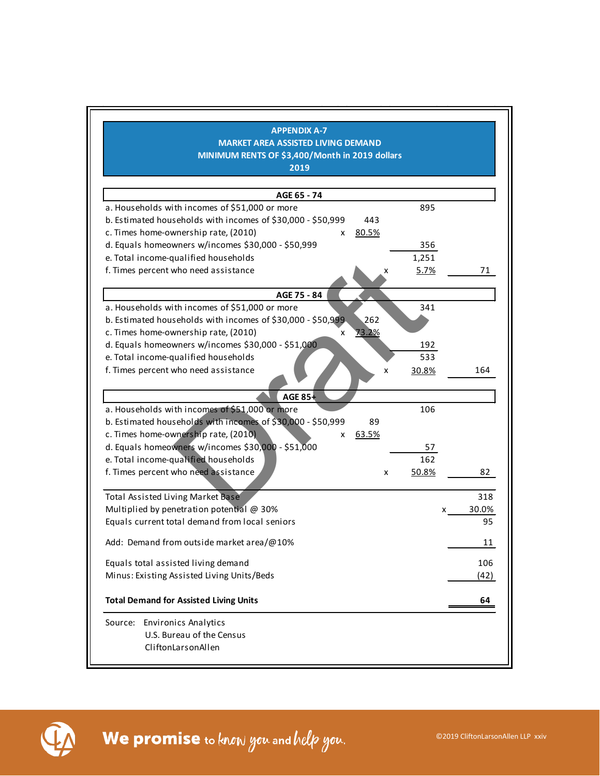| <b>APPENDIX A-7</b>                                                 |            |            |      |
|---------------------------------------------------------------------|------------|------------|------|
| <b>MARKET AREA ASSISTED LIVING DEMAND</b>                           |            |            |      |
| MINIMUM RENTS OF \$3,400/Month in 2019 dollars                      |            |            |      |
| 2019                                                                |            |            |      |
|                                                                     |            |            |      |
| AGE 65 - 74                                                         |            |            |      |
| a. Households with incomes of \$51,000 or more                      | 895        |            |      |
| b. Estimated households with incomes of \$30,000 - \$50,999<br>443  |            |            |      |
| c. Times home-ownership rate, (2010)<br><u>80.5%</u><br>x           |            |            |      |
| d. Equals homeowners w/incomes \$30,000 - \$50,999                  | 356        |            |      |
| e. Total income-qualified households                                | 1,251      |            |      |
| f. Times percent who need assistance                                | 5.7%       |            | 71   |
| AGE 75 - 84                                                         |            |            |      |
| a. Households with incomes of \$51,000 or more                      | 341        |            |      |
| 262<br>b. Estimated households with incomes of \$30,000 - \$50,999. |            |            |      |
| c. Times home-ownership rate, (2010)<br><u>73.2%</u><br>x           |            |            |      |
| d. Equals homeowners w/incomes \$30,000 - \$51,000                  | 192        |            |      |
| e. Total income-qualified households                                | 533        |            |      |
| f. Times percent who need assistance                                | X<br>30.8% | 164        |      |
| <b>AGE 85+</b>                                                      |            |            |      |
| a. Households with incomes of \$51,000 or more                      | 106        |            |      |
| b. Estimated households with incomes of \$30,000 - \$50,999<br>89   |            |            |      |
| c. Times home-ownership rate, (2010)<br>x 63.5%                     |            |            |      |
| d. Equals homeowners w/incomes \$30,000 - \$51,000                  | 57         |            |      |
| e. Total income-qualified households                                | 162        |            |      |
| f. Times percent who need assistance                                | 50.8%<br>x |            | 82   |
|                                                                     |            |            |      |
| <b>Total Assisted Living Market Base</b>                            |            |            | 318  |
| Multiplied by penetration potential @ 30%                           |            | 30.0%<br>x |      |
| Equals current total demand from local seniors                      |            |            | 95   |
| Add: Demand from outside market area/@10%                           |            |            | 11   |
| Equals total assisted living demand                                 |            |            | 106  |
| Minus: Existing Assisted Living Units/Beds                          |            |            | (42) |
|                                                                     |            |            |      |
| <b>Total Demand for Assisted Living Units</b>                       |            |            | 64   |
| Source: Environics Analytics                                        |            |            |      |
| U.S. Bureau of the Census                                           |            |            |      |
| CliftonLarsonAllen                                                  |            |            |      |
|                                                                     |            |            |      |

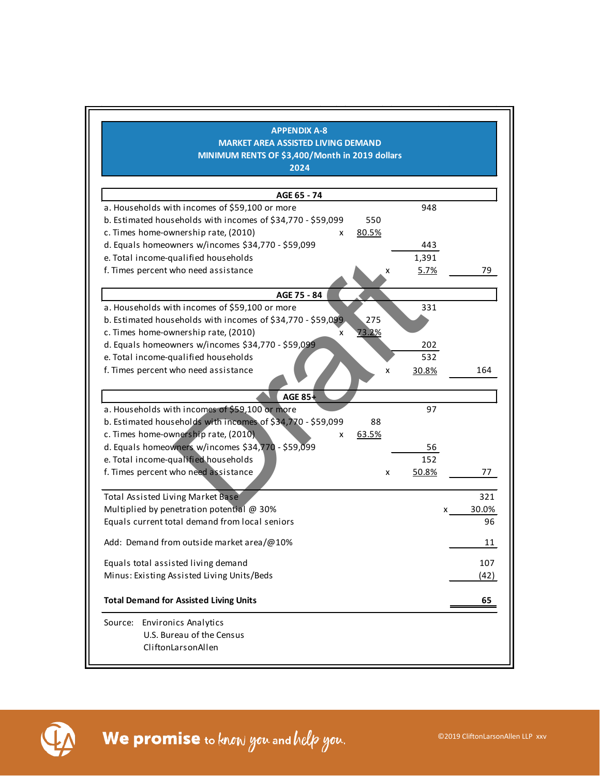| <b>APPENDIX A-8</b>                                                |       |            |
|--------------------------------------------------------------------|-------|------------|
| <b>MARKET AREA ASSISTED LIVING DEMAND</b>                          |       |            |
| MINIMUM RENTS OF \$3,400/Month in 2019 dollars                     |       |            |
| 2024                                                               |       |            |
|                                                                    |       |            |
| AGE 65 - 74                                                        |       |            |
| a. Households with incomes of \$59,100 or more                     | 948   |            |
| b. Estimated households with incomes of \$34,770 - \$59,099<br>550 |       |            |
| c. Times home-ownership rate, (2010)<br>80.5%<br>x                 |       |            |
| d. Equals homeowners w/incomes \$34,770 - \$59,099                 | 443   |            |
| e. Total income-qualified households                               | 1,391 |            |
| f. Times percent who need assistance<br>x                          | 5.7%  | 79         |
| AGE 75 - 84                                                        |       |            |
| a. Households with incomes of \$59,100 or more                     | 331   |            |
| b. Estimated households with incomes of \$34,770 - \$59,099<br>275 |       |            |
| c. Times home-ownership rate, (2010)<br>73.2%<br>x                 |       |            |
| d. Equals homeowners w/incomes \$34,770 - \$59,099                 | 202   |            |
| e. Total income-qualified households                               | 532   |            |
| f. Times percent who need assistance<br>x                          | 30.8% | 164        |
| <b>AGE 85+</b>                                                     |       |            |
| a. Households with incomes of \$59,100 or more                     | 97    |            |
| b. Estimated households with incomes of \$34,770 - \$59,099<br>88  |       |            |
| c. Times home-ownership rate, (2010).<br>63.5%<br>x                |       |            |
| d. Equals homeowners w/incomes \$34,770 - \$59,099                 | 56    |            |
| e. Total income-qualified households                               | 152   |            |
| f. Times percent who need assistance<br>x                          | 50.8% | 77         |
| <b>Total Assisted Living Market Base</b>                           |       | 321        |
| Multiplied by penetration potential @ 30%                          |       | 30.0%<br>x |
| Equals current total demand from local seniors                     |       | 96         |
| Add: Demand from outside market area/@10%                          |       | 11         |
| Equals total assisted living demand                                |       | 107        |
| Minus: Existing Assisted Living Units/Beds                         |       | (42)       |
|                                                                    |       |            |
| <b>Total Demand for Assisted Living Units</b>                      |       | 65         |
| <b>Environics Analytics</b><br>Source:                             |       |            |
| U.S. Bureau of the Census                                          |       |            |
| CliftonLarsonAllen                                                 |       |            |

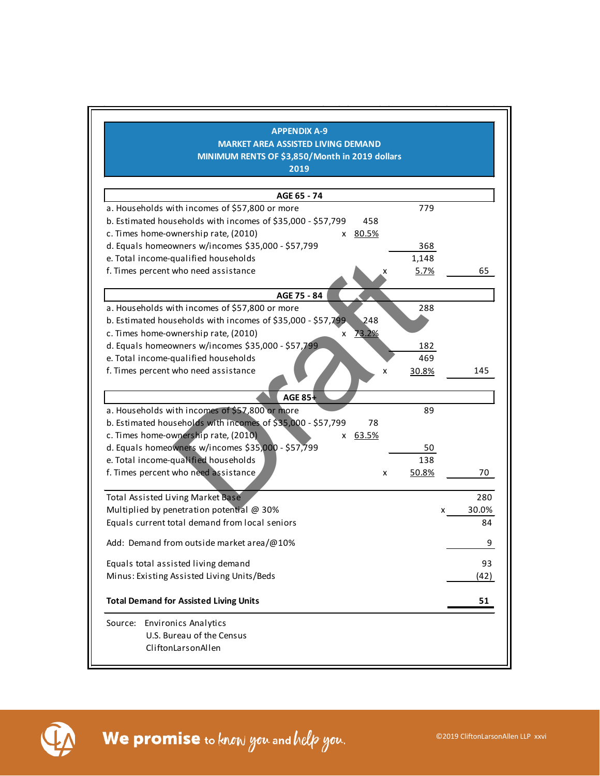| <b>APPENDIX A-9</b>                                                |            |
|--------------------------------------------------------------------|------------|
| <b>MARKET AREA ASSISTED LIVING DEMAND</b>                          |            |
| MINIMUM RENTS OF \$3,850/Month in 2019 dollars                     |            |
| 2019                                                               |            |
|                                                                    |            |
| AGE 65 - 74                                                        |            |
| a. Households with incomes of \$57,800 or more<br>779              |            |
| b. Estimated households with incomes of \$35,000 - \$57,799<br>458 |            |
| c. Times home-ownership rate, (2010)<br>x 80.5%                    |            |
| d. Equals homeowners w/incomes \$35,000 - \$57,799<br>368          |            |
| e. Total income-qualified households<br>1,148                      |            |
| f. Times percent who need assistance<br>5.7%                       | 65         |
| AGE 75 - 84                                                        |            |
| a. Households with incomes of \$57,800 or more<br>288              |            |
| 248<br>b. Estimated households with incomes of \$35,000 - \$57,799 |            |
| c. Times home-ownership rate, (2010)<br><u>73.2%</u><br>X.         |            |
| d. Equals homeowners w/incomes \$35,000 - \$57,799<br>182          |            |
| e. Total income-qualified households<br>469                        |            |
| f. Times percent who need assistance<br>30.8%<br>X                 | 145        |
| <b>AGE 85+</b>                                                     |            |
| a. Households with incomes of \$57,800 or more<br>89               |            |
| b. Estimated households with incomes of \$35,000 - \$57,799<br>78  |            |
| c. Times home-ownership rate, (2010)<br>x 63.5%                    |            |
| d. Equals homeowners w/incomes \$35,000 - \$57,799<br>50           |            |
| e. Total income-qualified households<br>138                        |            |
| f. Times percent who need assistance<br>50.8%<br>x                 | 70         |
|                                                                    |            |
| <b>Total Assisted Living Market Base</b>                           | 280        |
| Multiplied by penetration potential @ 30%                          | 30.0%<br>X |
| Equals current total demand from local seniors                     | 84         |
| Add: Demand from outside market area/@10%                          | 9          |
| Equals total assisted living demand                                | 93         |
| Minus: Existing Assisted Living Units/Beds                         | (42)       |
|                                                                    |            |
| <b>Total Demand for Assisted Living Units</b>                      | 51         |
| Source: Environics Analytics                                       |            |
| U.S. Bureau of the Census                                          |            |
| CliftonLarsonAllen                                                 |            |
|                                                                    |            |